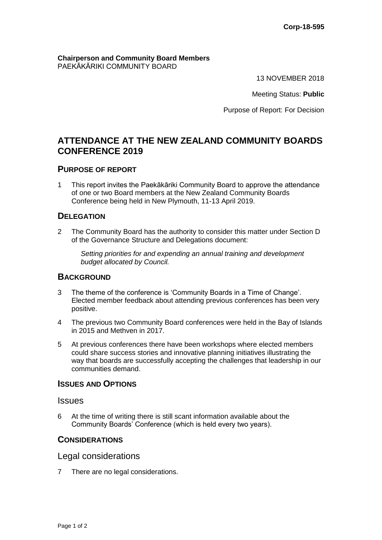#### **Chairperson and Community Board Members** PAEKĀKĀRIKI COMMUNITY BOARD

13 NOVEMBER 2018

Meeting Status: **Public**

Purpose of Report: For Decision

# **ATTENDANCE AT THE NEW ZEALAND COMMUNITY BOARDS CONFERENCE 2019**

### **PURPOSE OF REPORT**

1 This report invites the Paekākāriki Community Board to approve the attendance of one or two Board members at the New Zealand Community Boards Conference being held in New Plymouth, 11-13 April 2019.

# **DELEGATION**

2 The Community Board has the authority to consider this matter under Section D of the Governance Structure and Delegations document:

*Setting priorities for and expending an annual training and development budget allocated by Council.*

# **BACKGROUND**

- 3 The theme of the conference is 'Community Boards in a Time of Change'. Elected member feedback about attending previous conferences has been very positive.
- 4 The previous two Community Board conferences were held in the Bay of Islands in 2015 and Methven in 2017.
- 5 At previous conferences there have been workshops where elected members could share success stories and innovative planning initiatives illustrating the way that boards are successfully accepting the challenges that leadership in our communities demand.

### **ISSUES AND OPTIONS**

#### Issues

6 At the time of writing there is still scant information available about the Community Boards' Conference (which is held every two years).

#### **CONSIDERATIONS**

#### Legal considerations

7 There are no legal considerations.